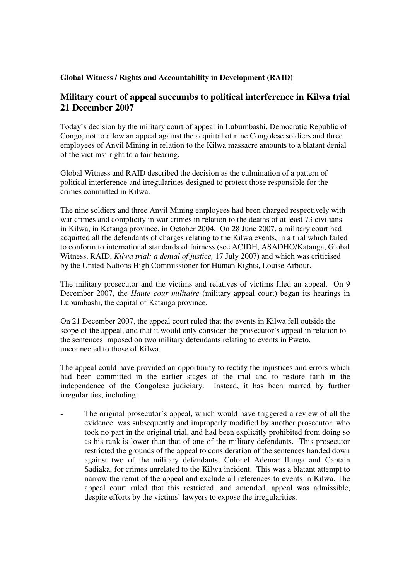## **Global Witness / Rights and Accountability in Development (RAID)**

## **Military court of appeal succumbs to political interference in Kilwa trial 21 December 2007**

Today's decision by the military court of appeal in Lubumbashi, Democratic Republic of Congo, not to allow an appeal against the acquittal of nine Congolese soldiers and three employees of Anvil Mining in relation to the Kilwa massacre amounts to a blatant denial of the victims' right to a fair hearing.

Global Witness and RAID described the decision as the culmination of a pattern of political interference and irregularities designed to protect those responsible for the crimes committed in Kilwa.

The nine soldiers and three Anvil Mining employees had been charged respectively with war crimes and complicity in war crimes in relation to the deaths of at least 73 civilians in Kilwa, in Katanga province, in October 2004. On 28 June 2007, a military court had acquitted all the defendants of charges relating to the Kilwa events, in a trial which failed to conform to international standards of fairness (see ACIDH, ASADHO/Katanga, Global Witness, RAID, *Kilwa trial: a denial of justice,* 17 July 2007) and which was criticised by the United Nations High Commissioner for Human Rights, Louise Arbour.

The military prosecutor and the victims and relatives of victims filed an appeal. On 9 December 2007, the *Haute cour militaire* (military appeal court) began its hearings in Lubumbashi, the capital of Katanga province.

On 21 December 2007, the appeal court ruled that the events in Kilwa fell outside the scope of the appeal, and that it would only consider the prosecutor's appeal in relation to the sentences imposed on two military defendants relating to events in Pweto, unconnected to those of Kilwa.

The appeal could have provided an opportunity to rectify the injustices and errors which had been committed in the earlier stages of the trial and to restore faith in the independence of the Congolese judiciary. Instead, it has been marred by further irregularities, including:

The original prosecutor's appeal, which would have triggered a review of all the evidence, was subsequently and improperly modified by another prosecutor, who took no part in the original trial, and had been explicitly prohibited from doing so as his rank is lower than that of one of the military defendants. This prosecutor restricted the grounds of the appeal to consideration of the sentences handed down against two of the military defendants, Colonel Ademar Ilunga and Captain Sadiaka, for crimes unrelated to the Kilwa incident. This was a blatant attempt to narrow the remit of the appeal and exclude all references to events in Kilwa. The appeal court ruled that this restricted, and amended, appeal was admissible, despite efforts by the victims' lawyers to expose the irregularities.